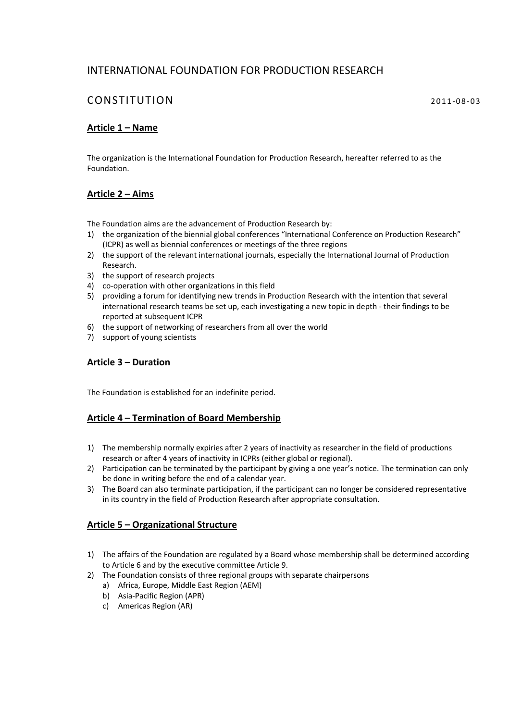# INTERNATIONAL FOUNDATION FOR PRODUCTION RESEARCH

# CONSTITUTION 2011-08-03

# **Article 1 – Name**

The organization is the International Foundation for Production Research, hereafter referred to as the Foundation.

## **Article 2 – Aims**

The Foundation aims are the advancement of Production Research by:

- 1) the organization of the biennial global conferences "International Conference on Production Research" (ICPR) as well as biennial conferences or meetings of the three regions
- 2) the support of the relevant international journals, especially the International Journal of Production Research.
- 3) the support of research projects
- 4) co-operation with other organizations in this field
- 5) providing a forum for identifying new trends in Production Research with the intention that several international research teams be set up, each investigating a new topic in depth ‐ their findings to be reported at subsequent ICPR
- 6) the support of networking of researchers from all over the world
- 7) support of young scientists

#### **Article 3 – Duration**

The Foundation is established for an indefinite period.

#### **Article 4 – Termination of Board Membership**

- 1) The membership normally expiries after 2 years of inactivity as researcher in the field of productions research or after 4 years of inactivity in ICPRs (either global or regional).
- 2) Participation can be terminated by the participant by giving a one year's notice. The termination can only be done in writing before the end of a calendar year.
- 3) The Board can also terminate participation, if the participant can no longer be considered representative in its country in the field of Production Research after appropriate consultation.

## **Article 5 – Organizational Structure**

- 1) The affairs of the Foundation are regulated by a Board whose membership shall be determined according to Article 6 and by the executive committee Article 9.
- 2) The Foundation consists of three regional groups with separate chairpersons
	- a) Africa, Europe, Middle East Region (AEM)
	- b) Asia‐Pacific Region (APR)
	- c) Americas Region (AR)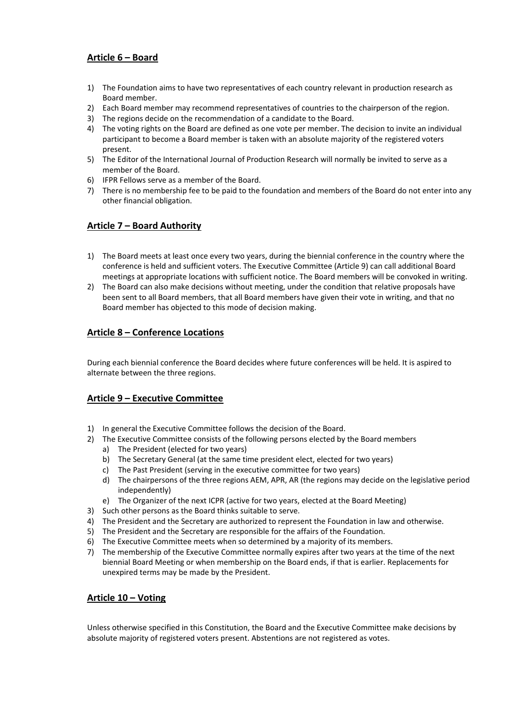## **Article 6 – Board**

- 1) The Foundation aims to have two representatives of each country relevant in production research as Board member.
- 2) Each Board member may recommend representatives of countries to the chairperson of the region.
- 3) The regions decide on the recommendation of a candidate to the Board.
- 4) The voting rights on the Board are defined as one vote per member. The decision to invite an individual participant to become a Board member is taken with an absolute majority of the registered voters present.
- 5) The Editor of the International Journal of Production Research will normally be invited to serve as a member of the Board.
- 6) IFPR Fellows serve as a member of the Board.
- 7) There is no membership fee to be paid to the foundation and members of the Board do not enter into any other financial obligation.

## **Article 7 – Board Authority**

- 1) The Board meets at least once every two years, during the biennial conference in the country where the conference is held and sufficient voters. The Executive Committee (Article 9) can call additional Board meetings at appropriate locations with sufficient notice. The Board members will be convoked in writing.
- 2) The Board can also make decisions without meeting, under the condition that relative proposals have been sent to all Board members, that all Board members have given their vote in writing, and that no Board member has objected to this mode of decision making.

#### **Article 8 – Conference Locations**

During each biennial conference the Board decides where future conferences will be held. It is aspired to alternate between the three regions.

#### **Article 9 – Executive Committee**

- 1) In general the Executive Committee follows the decision of the Board.
- 2) The Executive Committee consists of the following persons elected by the Board members
	- a) The President (elected for two years)
	- b) The Secretary General (at the same time president elect, elected for two years)
	- c) The Past President (serving in the executive committee for two years)
	- d) The chairpersons of the three regions AEM, APR, AR (the regions may decide on the legislative period independently)
	- e) The Organizer of the next ICPR (active for two years, elected at the Board Meeting)
- 3) Such other persons as the Board thinks suitable to serve.
- 4) The President and the Secretary are authorized to represent the Foundation in law and otherwise.
- 5) The President and the Secretary are responsible for the affairs of the Foundation.
- 6) The Executive Committee meets when so determined by a majority of its members.
- 7) The membership of the Executive Committee normally expires after two years at the time of the next biennial Board Meeting or when membership on the Board ends, if that is earlier. Replacements for unexpired terms may be made by the President.

## **Article 10 – Voting**

Unless otherwise specified in this Constitution, the Board and the Executive Committee make decisions by absolute majority of registered voters present. Abstentions are not registered as votes.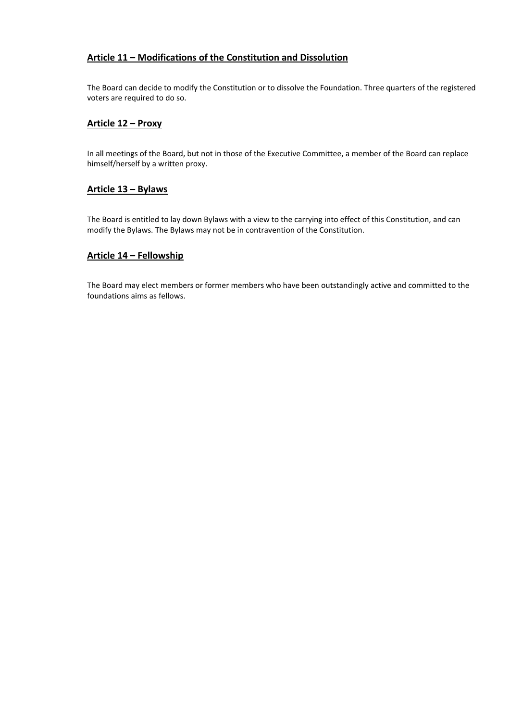## **Article 11 – Modifications of the Constitution and Dissolution**

The Board can decide to modify the Constitution or to dissolve the Foundation. Three quarters of the registered voters are required to do so.

#### **Article 12 – Proxy**

In all meetings of the Board, but not in those of the Executive Committee, a member of the Board can replace himself/herself by a written proxy.

#### **Article 13 – Bylaws**

The Board is entitled to lay down Bylaws with a view to the carrying into effect of this Constitution, and can modify the Bylaws. The Bylaws may not be in contravention of the Constitution.

#### **Article 14 – Fellowship**

The Board may elect members or former members who have been outstandingly active and committed to the foundations aims as fellows.